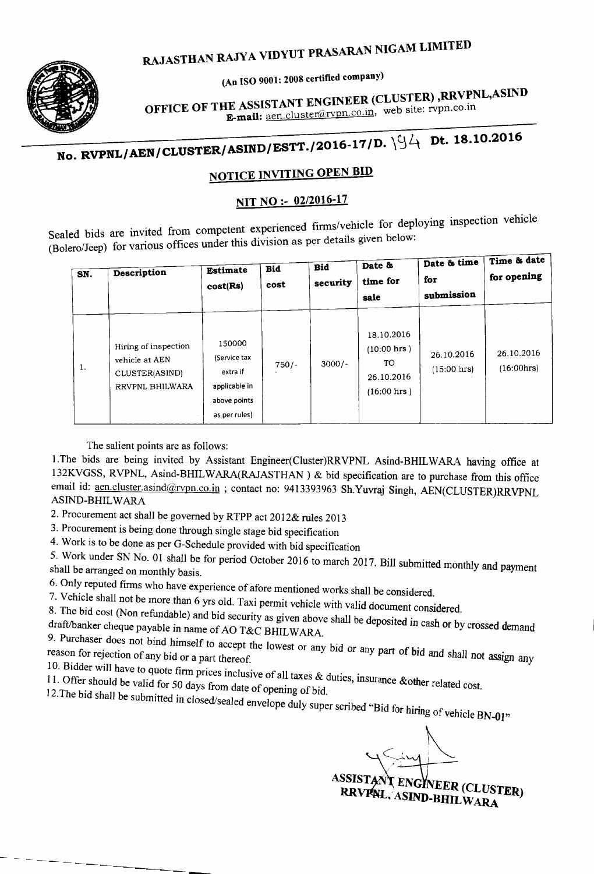#### ARAN NIGAM LIMITE RAJASTHAN RAJYA VIDYUT PRAS

An ISO 9001: 2008 certified company)



**EXACUTER (CLUSTER)**, RRVPNL, ASIN **OFFICE OF THE ASSISTANT ENGINEER**, web site: rvpn.co.in E-mail: aen.cluster@rvpn.co.in, web site: rvpn.co.in

#### No. RVPNL/AEN/CLUSTER/ASIND/ESTT./2016-17/D. Dt. 18.10.2016

#### NOTICE INVITING OPEN BID

#### NIT NO :- 02/2016-17

Sealed bids are (Bolero/Jeep) for various offices under this division as per details given below: loying inspection vehicle . d bids are invited from competent experienced firms/vehicle for deploying ro/Jeep) for various offices under this division as per details given below:

| SN. | Description                                                                 | <b>Estimate</b><br>cost(Rs)                                                          | <b>Bid</b><br>cost | Bid<br>security | Date &<br>time for<br>sale                                              | Date & time<br>for<br>submission | Time & date<br>for opening |
|-----|-----------------------------------------------------------------------------|--------------------------------------------------------------------------------------|--------------------|-----------------|-------------------------------------------------------------------------|----------------------------------|----------------------------|
| 1.  | Hiring of inspection<br>vehicle at AEN<br>CLUSTER(ASIND)<br>RRVPNL BHILWARA | 150000<br>(Service tax<br>extra if<br>applicable in<br>above points<br>as per rules) | $750/-$            | $3000/-$        | 18.10.2016<br>$(10:00$ hrs $)$<br>TO.<br>26.10.2016<br>$(16:00$ hrs $)$ | 26.10.2016<br>$(15:00$ hrs)      | 26.10.2016<br>(16:00 hrs)  |

The salient points are as follows:

1. The bids are being invited by Assistant Engineer(Cluster)RRVPNL Asind-BHILWARA having office at 132KVGSS, RVPNL, Asind-BHILWARA(RAJASTHAN) & bid specification are to purchase from this office email id: aen.cluster.asind@rvpn.co.in ; contact no: 9413393963 Sh.Yuvraj Singh, AEN(CLUSTER)RRVPNL ASIND-BHIL WARA

2. Procurement act shall be governed by RTPP act 2012& rules 2013

3. Procurement is being done through single stage bid specification

4. Work is to be done as per G-Schedule provided with bid specification

5. Work under SN No. 01 shall be for period October 2016 to march 2017. Bill submitted monthly and payment shall be arranged on monthly basis.

6. Only reputed firms who have experience of afore mentioned works shall be considered.

7. Vehicle shall not be more than 6 yrs old. Taxi permit vehicle with valid document considered.

8. The bid cost (Non refundable) and bid security as given above shall be deposited in cash or by crossed demand draft/banker cheque payable in name of AO T&C BHILWARA.

9. Purchaser. do~s not bind ~imself to accept the lowest or any bid or any part of *bid* and shall not *assign* any reason for rejection of any bid or a part thereof.

 $11$ . Offer than 111, we to quote firm prices inclusive of all taxes  $\&$  duties, insurance  $\&$  other relations.

11. Offer should be valid for 50 days from date of opening of bid.

 $12.5$  bid shall be submitted in closed/sealed envelope duly super scribed "Bid for high Indian f high Indian f higher scribed "Bid for high Indian f higher scribed" g of vehicle BN-01"

 $\lt$   $\sim$ 

ASSISTANT ENGINEER (CLUSTER) RRVPNL. ASIND-BHILWARA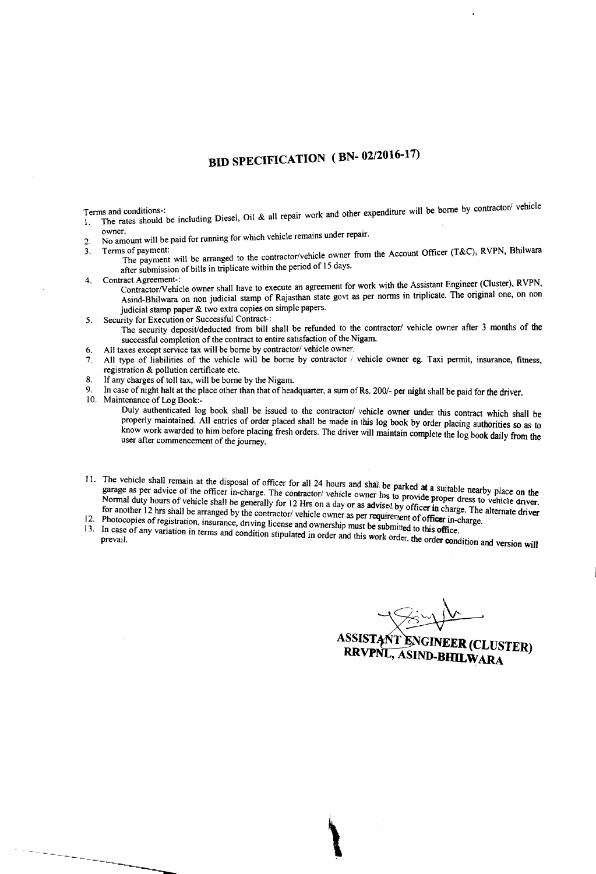### **BID SPECIFICATION (BN- 02/2016-17)**

- Terms and conditions-:<br>1. The rates should be including Diesel, Oil & all repair work and other expenditure will be borne by contractor
- owner.<br>No amount will be paid for running for which vehicle remains under repair. 2.
- 3.
	- Terms of payment:<br>The payment will be arranged to the contractor/vehicle owner from the Account Officer (T&C), RVPN, Bhilwara after submission of bills in triplicate within the penod of IS days.
- 4.
	- Contract Agreement-: .<br>Contractor/Vehicle owner shall have to execute an agreement for work with the Assistant Engineer (Cluster), RVPN, Asind-Bhilwara on non judicial stamp of Rajasthan state govt as per norms in triplicate. The original one, on non judicial stamp paper & two extra copies on simple papers.
- Security for Execution or Successful Contract-: 5.
- The security deposit/deducted from bill shall be refunded to the contractor/ vehicle owner after 3 months of the successful completion of the contract to entire satisfaction of the Nigam.
- All taxes except service tax will be borne by contractor/ vehicle owner. 6.
- All type of liabilities of the vehicle will be borne by contractor / vehicle owner eg. Taxi permit, insurance, fitness, registration & pollution certificate etc. 7.
- If any charges of toll tax, will be borne by the Nigam. 8.
- In case of night halt at the place other than that of headquarter, a sum of Rs. 200/- per night shall be paid for the driver. 9.
- 10. Maintenance of Log Book:-

-----------

- Duly authenticated log book shall be issued to the contractor/ vehicle owner under this contract which shall be properly maintained. All entries of order placed shall be made in this log book by order placing authorities so as to know work awarded to him before placing fresh orders. The driver will maintain complete the log book daily from the<br>user after commencement of the journey.
- I. The vehicle shall remain at the disposal of officer for all 24 hours and shall be parked at a suit garage as per advice of the officer in-charge. The contractor/ vehicle owner has to provide nearby place on the Note that the vehicle shall behind at the surprise. The contractor/ vehicle owner has to provide proper dress to vehicle driver. For another 12 hrs shall be arranged by the contractor/ vehicle owner as per requirement of officer in charge. The alternate driver for another 12 hrs shall be arranged by the contractor/ vehicle owner as per requirement o 12. Photocopies of the contract of the contractor webicle owner as per requirement of officer in-charge.
- 
- $13.$  In case of any vanation in terms and condition stipulated in order and this work order, the order condition and version will prevail.
- 

ASSISTANT ENGINEER (CLUSTER) RRVPNL, ASIND-BHILWARA